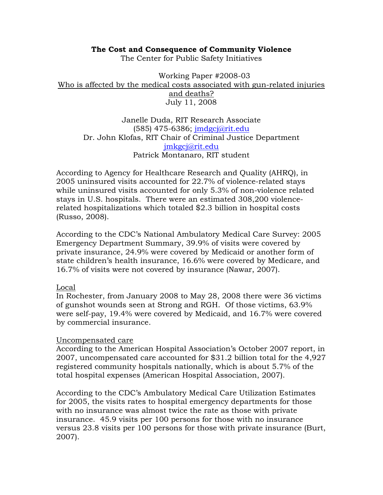### **The Cost and Consequence of Community Violence**

The Center for Public Safety Initiatives

Working Paper #2008-03 Who is affected by the medical costs associated with gun-related injuries and deaths? July 11, 2008

Janelle Duda, RIT Research Associate (585) 475-6386; jmdgcj@rit.edu Dr. John Klofas, RIT Chair of Criminal Justice Department jmkgcj@rit.edu Patrick Montanaro, RIT student

According to Agency for Healthcare Research and Quality (AHRQ), in 2005 uninsured visits accounted for 22.7% of violence-related stays while uninsured visits accounted for only 5.3% of non-violence related stays in U.S. hospitals. There were an estimated 308,200 violencerelated hospitalizations which totaled \$2.3 billion in hospital costs (Russo, 2008).

According to the CDC's National Ambulatory Medical Care Survey: 2005 Emergency Department Summary, 39.9% of visits were covered by private insurance, 24.9% were covered by Medicaid or another form of state children's health insurance, 16.6% were covered by Medicare, and 16.7% of visits were not covered by insurance (Nawar, 2007).

# Local

In Rochester, from January 2008 to May 28, 2008 there were 36 victims of gunshot wounds seen at Strong and RGH. Of those victims, 63.9% were self-pay, 19.4% were covered by Medicaid, and 16.7% were covered by commercial insurance.

# Uncompensated care

According to the American Hospital Association's October 2007 report, in 2007, uncompensated care accounted for \$31.2 billion total for the 4,927 registered community hospitals nationally, which is about 5.7% of the total hospital expenses (American Hospital Association, 2007).

According to the CDC's Ambulatory Medical Care Utilization Estimates for 2005, the visits rates to hospital emergency departments for those with no insurance was almost twice the rate as those with private insurance. 45.9 visits per 100 persons for those with no insurance versus 23.8 visits per 100 persons for those with private insurance (Burt, 2007).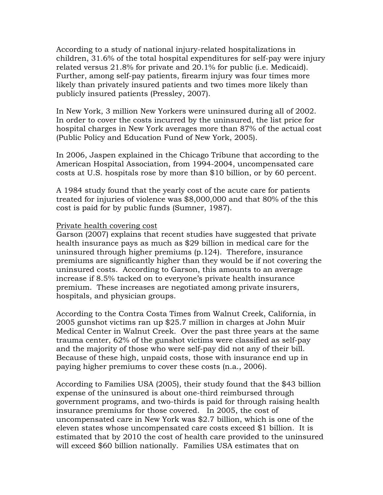According to a study of national injury-related hospitalizations in children, 31.6% of the total hospital expenditures for self-pay were injury related versus 21.8% for private and 20.1% for public (i.e. Medicaid). Further, among self-pay patients, firearm injury was four times more likely than privately insured patients and two times more likely than publicly insured patients (Pressley, 2007).

In New York, 3 million New Yorkers were uninsured during all of 2002. In order to cover the costs incurred by the uninsured, the list price for hospital charges in New York averages more than 87% of the actual cost (Public Policy and Education Fund of New York, 2005).

In 2006, Jaspen explained in the Chicago Tribune that according to the American Hospital Association, from 1994-2004, uncompensated care costs at U.S. hospitals rose by more than \$10 billion, or by 60 percent.

A 1984 study found that the yearly cost of the acute care for patients treated for injuries of violence was \$8,000,000 and that 80% of the this cost is paid for by public funds (Sumner, 1987).

#### Private health covering cost

Garson (2007) explains that recent studies have suggested that private health insurance pays as much as \$29 billion in medical care for the uninsured through higher premiums (p.124). Therefore, insurance premiums are significantly higher than they would be if not covering the uninsured costs. According to Garson, this amounts to an average increase if 8.5% tacked on to everyone's private health insurance premium. These increases are negotiated among private insurers, hospitals, and physician groups.

According to the Contra Costa Times from Walnut Creek, California, in 2005 gunshot victims ran up \$25.7 million in charges at John Muir Medical Center in Walnut Creek. Over the past three years at the same trauma center, 62% of the gunshot victims were classified as self-pay and the majority of those who were self-pay did not any of their bill. Because of these high, unpaid costs, those with insurance end up in paying higher premiums to cover these costs (n.a., 2006).

According to Families USA (2005), their study found that the \$43 billion expense of the uninsured is about one-third reimbursed through government programs, and two-thirds is paid for through raising health insurance premiums for those covered. In 2005, the cost of uncompensated care in New York was \$2.7 billion, which is one of the eleven states whose uncompensated care costs exceed \$1 billion. It is estimated that by 2010 the cost of health care provided to the uninsured will exceed \$60 billion nationally. Families USA estimates that on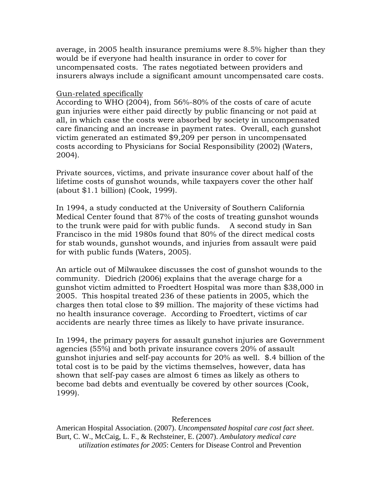average, in 2005 health insurance premiums were 8.5% higher than they would be if everyone had health insurance in order to cover for uncompensated costs. The rates negotiated between providers and insurers always include a significant amount uncompensated care costs.

### Gun-related specifically

According to WHO (2004), from 56%-80% of the costs of care of acute gun injuries were either paid directly by public financing or not paid at all, in which case the costs were absorbed by society in uncompensated care financing and an increase in payment rates. Overall, each gunshot victim generated an estimated \$9,209 per person in uncompensated costs according to Physicians for Social Responsibility (2002) (Waters, 2004).

Private sources, victims, and private insurance cover about half of the lifetime costs of gunshot wounds, while taxpayers cover the other half (about \$1.1 billion) (Cook, 1999).

In 1994, a study conducted at the University of Southern California Medical Center found that 87% of the costs of treating gunshot wounds to the trunk were paid for with public funds. A second study in San Francisco in the mid 1980s found that 80% of the direct medical costs for stab wounds, gunshot wounds, and injuries from assault were paid for with public funds (Waters, 2005).

An article out of Milwaukee discusses the cost of gunshot wounds to the community. Diedrich (2006) explains that the average charge for a gunshot victim admitted to Froedtert Hospital was more than \$38,000 in 2005. This hospital treated 236 of these patients in 2005, which the charges then total close to \$9 million. The majority of these victims had no health insurance coverage. According to Froedtert, victims of car accidents are nearly three times as likely to have private insurance.

In 1994, the primary payers for assault gunshot injuries are Government agencies (55%) and both private insurance covers 20% of assault gunshot injuries and self-pay accounts for 20% as well. \$.4 billion of the total cost is to be paid by the victims themselves, however, data has shown that self-pay cases are almost 6 times as likely as others to become bad debts and eventually be covered by other sources (Cook, 1999).

# References

American Hospital Association. (2007). *Uncompensated hospital care cost fact sheet*. Burt, C. W., McCaig, L. F., & Rechsteiner, E. (2007). *Ambulatory medical care utilization estimates for 2005*: Centers for Disease Control and Prevention